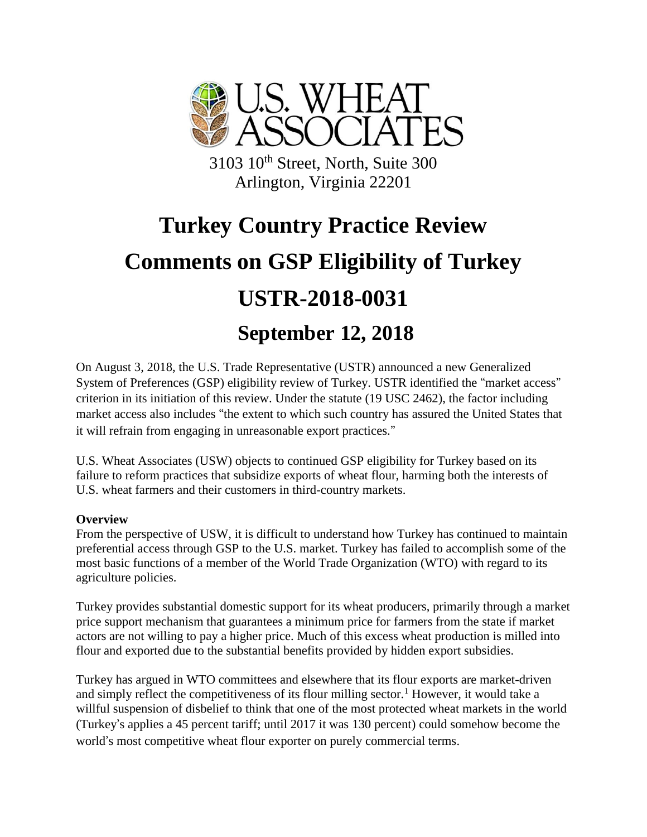

3103 10th Street, North, Suite 300 Arlington, Virginia 22201

# **Turkey Country Practice Review Comments on GSP Eligibility of Turkey USTR-2018-0031 September 12, 2018**

On August 3, 2018, the U.S. Trade Representative (USTR) announced a new Generalized System of Preferences (GSP) eligibility review of Turkey. USTR identified the "market access" criterion in its initiation of this review. Under the statute (19 USC 2462), the factor including market access also includes "the extent to which such country has assured the United States that it will refrain from engaging in unreasonable export practices."

U.S. Wheat Associates (USW) objects to continued GSP eligibility for Turkey based on its failure to reform practices that subsidize exports of wheat flour, harming both the interests of U.S. wheat farmers and their customers in third-country markets.

## **Overview**

From the perspective of USW, it is difficult to understand how Turkey has continued to maintain preferential access through GSP to the U.S. market. Turkey has failed to accomplish some of the most basic functions of a member of the World Trade Organization (WTO) with regard to its agriculture policies.

Turkey provides substantial domestic support for its wheat producers, primarily through a market price support mechanism that guarantees a minimum price for farmers from the state if market actors are not willing to pay a higher price. Much of this excess wheat production is milled into flour and exported due to the substantial benefits provided by hidden export subsidies.

Turkey has argued in WTO committees and elsewhere that its flour exports are market-driven and simply reflect the competitiveness of its flour milling sector.<sup>1</sup> However, it would take a willful suspension of disbelief to think that one of the most protected wheat markets in the world (Turkey's applies a 45 percent tariff; until 2017 it was 130 percent) could somehow become the world's most competitive wheat flour exporter on purely commercial terms.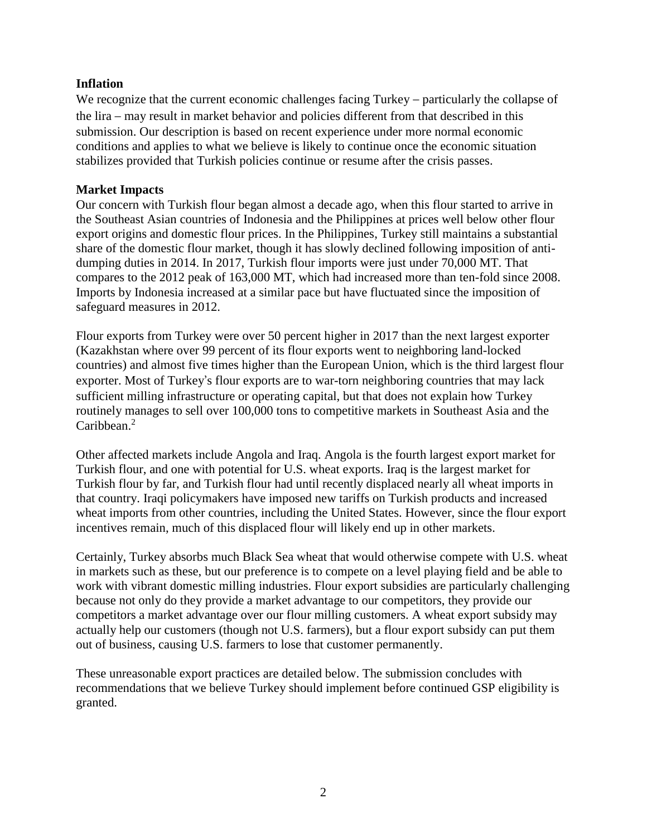#### **Inflation**

We recognize that the current economic challenges facing Turkey – particularly the collapse of the lira – may result in market behavior and policies different from that described in this submission. Our description is based on recent experience under more normal economic conditions and applies to what we believe is likely to continue once the economic situation stabilizes provided that Turkish policies continue or resume after the crisis passes.

#### **Market Impacts**

Our concern with Turkish flour began almost a decade ago, when this flour started to arrive in the Southeast Asian countries of Indonesia and the Philippines at prices well below other flour export origins and domestic flour prices. In the Philippines, Turkey still maintains a substantial share of the domestic flour market, though it has slowly declined following imposition of antidumping duties in 2014. In 2017, Turkish flour imports were just under 70,000 MT. That compares to the 2012 peak of 163,000 MT, which had increased more than ten-fold since 2008. Imports by Indonesia increased at a similar pace but have fluctuated since the imposition of safeguard measures in 2012.

Flour exports from Turkey were over 50 percent higher in 2017 than the next largest exporter (Kazakhstan where over 99 percent of its flour exports went to neighboring land-locked countries) and almost five times higher than the European Union, which is the third largest flour exporter. Most of Turkey's flour exports are to war-torn neighboring countries that may lack sufficient milling infrastructure or operating capital, but that does not explain how Turkey routinely manages to sell over 100,000 tons to competitive markets in Southeast Asia and the Caribbean. 2

Other affected markets include Angola and Iraq. Angola is the fourth largest export market for Turkish flour, and one with potential for U.S. wheat exports. Iraq is the largest market for Turkish flour by far, and Turkish flour had until recently displaced nearly all wheat imports in that country. Iraqi policymakers have imposed new tariffs on Turkish products and increased wheat imports from other countries, including the United States. However, since the flour export incentives remain, much of this displaced flour will likely end up in other markets.

Certainly, Turkey absorbs much Black Sea wheat that would otherwise compete with U.S. wheat in markets such as these, but our preference is to compete on a level playing field and be able to work with vibrant domestic milling industries. Flour export subsidies are particularly challenging because not only do they provide a market advantage to our competitors, they provide our competitors a market advantage over our flour milling customers. A wheat export subsidy may actually help our customers (though not U.S. farmers), but a flour export subsidy can put them out of business, causing U.S. farmers to lose that customer permanently.

These unreasonable export practices are detailed below. The submission concludes with recommendations that we believe Turkey should implement before continued GSP eligibility is granted.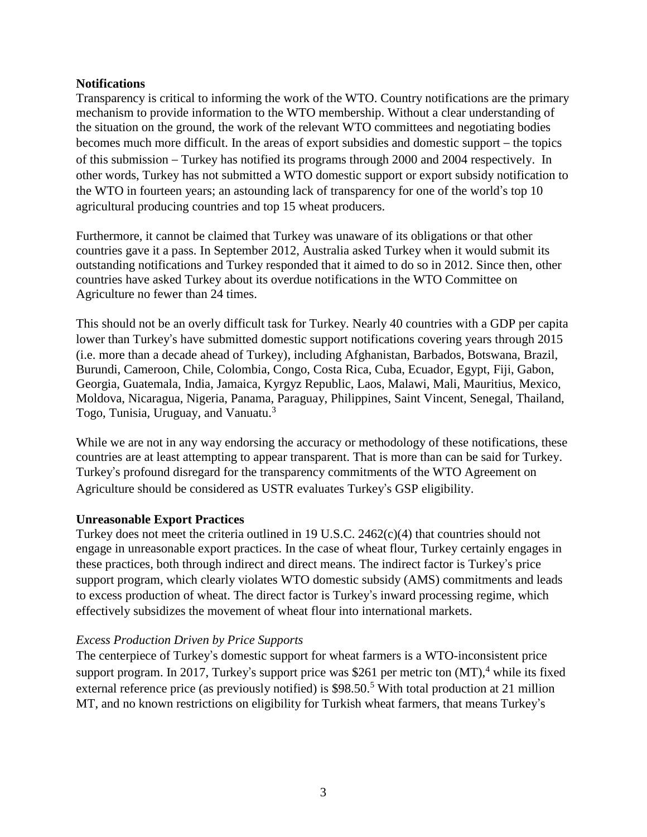#### **Notifications**

Transparency is critical to informing the work of the WTO. Country notifications are the primary mechanism to provide information to the WTO membership. Without a clear understanding of the situation on the ground, the work of the relevant WTO committees and negotiating bodies becomes much more difficult. In the areas of export subsidies and domestic support – the topics of this submission – Turkey has notified its programs through 2000 and 2004 respectively. In other words, Turkey has not submitted a WTO domestic support or export subsidy notification to the WTO in fourteen years; an astounding lack of transparency for one of the world's top 10 agricultural producing countries and top 15 wheat producers.

Furthermore, it cannot be claimed that Turkey was unaware of its obligations or that other countries gave it a pass. In September 2012, Australia asked Turkey when it would submit its outstanding notifications and Turkey responded that it aimed to do so in 2012. Since then, other countries have asked Turkey about its overdue notifications in the WTO Committee on Agriculture no fewer than 24 times.

This should not be an overly difficult task for Turkey. Nearly 40 countries with a GDP per capita lower than Turkey's have submitted domestic support notifications covering years through 2015 (i.e. more than a decade ahead of Turkey), including Afghanistan, Barbados, Botswana, Brazil, Burundi, Cameroon, Chile, Colombia, Congo, Costa Rica, Cuba, Ecuador, Egypt, Fiji, Gabon, Georgia, Guatemala, India, Jamaica, Kyrgyz Republic, Laos, Malawi, Mali, Mauritius, Mexico, Moldova, Nicaragua, Nigeria, Panama, Paraguay, Philippines, Saint Vincent, Senegal, Thailand, Togo, Tunisia, Uruguay, and Vanuatu.<sup>3</sup>

While we are not in any way endorsing the accuracy or methodology of these notifications, these countries are at least attempting to appear transparent. That is more than can be said for Turkey. Turkey's profound disregard for the transparency commitments of the WTO Agreement on Agriculture should be considered as USTR evaluates Turkey's GSP eligibility.

#### **Unreasonable Export Practices**

Turkey does not meet the criteria outlined in 19 U.S.C. 2462(c)(4) that countries should not engage in unreasonable export practices. In the case of wheat flour, Turkey certainly engages in these practices, both through indirect and direct means. The indirect factor is Turkey's price support program, which clearly violates WTO domestic subsidy (AMS) commitments and leads to excess production of wheat. The direct factor is Turkey's inward processing regime, which effectively subsidizes the movement of wheat flour into international markets.

## *Excess Production Driven by Price Supports*

The centerpiece of Turkey's domestic support for wheat farmers is a WTO-inconsistent price support program. In 2017, Turkey's support price was \$261 per metric ton  $(MT)$ ,<sup>4</sup> while its fixed external reference price (as previously notified) is \$98.50.<sup>5</sup> With total production at 21 million MT, and no known restrictions on eligibility for Turkish wheat farmers, that means Turkey's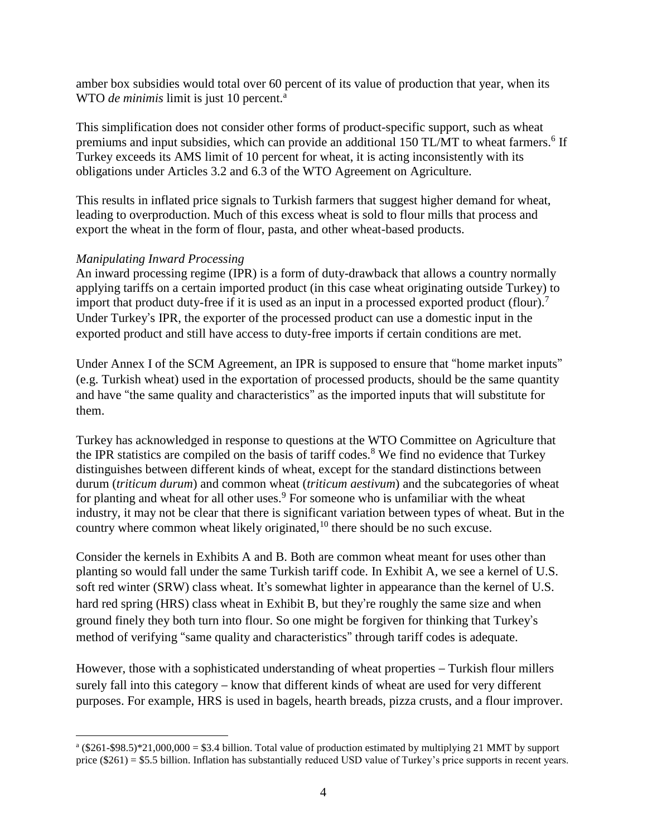amber box subsidies would total over 60 percent of its value of production that year, when its WTO *de minimis* limit is just 10 percent.<sup>a</sup>

This simplification does not consider other forms of product-specific support, such as wheat premiums and input subsidies, which can provide an additional 150 TL/MT to wheat farmers.<sup>6</sup> If Turkey exceeds its AMS limit of 10 percent for wheat, it is acting inconsistently with its obligations under Articles 3.2 and 6.3 of the WTO Agreement on Agriculture.

This results in inflated price signals to Turkish farmers that suggest higher demand for wheat, leading to overproduction. Much of this excess wheat is sold to flour mills that process and export the wheat in the form of flour, pasta, and other wheat-based products.

#### *Manipulating Inward Processing*

 $\overline{a}$ 

An inward processing regime (IPR) is a form of duty-drawback that allows a country normally applying tariffs on a certain imported product (in this case wheat originating outside Turkey) to import that product duty-free if it is used as an input in a processed exported product (flour).<sup>7</sup> Under Turkey's IPR, the exporter of the processed product can use a domestic input in the exported product and still have access to duty-free imports if certain conditions are met.

Under Annex I of the SCM Agreement, an IPR is supposed to ensure that "home market inputs" (e.g. Turkish wheat) used in the exportation of processed products, should be the same quantity and have "the same quality and characteristics" as the imported inputs that will substitute for them.

Turkey has acknowledged in response to questions at the WTO Committee on Agriculture that the IPR statistics are compiled on the basis of tariff codes.<sup>8</sup> We find no evidence that Turkey distinguishes between different kinds of wheat, except for the standard distinctions between durum (*triticum durum*) and common wheat (*triticum aestivum*) and the subcategories of wheat for planting and wheat for all other uses. $9$  For someone who is unfamiliar with the wheat industry, it may not be clear that there is significant variation between types of wheat. But in the country where common wheat likely originated,<sup>10</sup> there should be no such excuse.

Consider the kernels in Exhibits A and B. Both are common wheat meant for uses other than planting so would fall under the same Turkish tariff code. In Exhibit A, we see a kernel of U.S. soft red winter (SRW) class wheat. It's somewhat lighter in appearance than the kernel of U.S. hard red spring (HRS) class wheat in Exhibit B, but they're roughly the same size and when ground finely they both turn into flour. So one might be forgiven for thinking that Turkey's method of verifying "same quality and characteristics" through tariff codes is adequate.

However, those with a sophisticated understanding of wheat properties – Turkish flour millers surely fall into this category – know that different kinds of wheat are used for very different purposes. For example, HRS is used in bagels, hearth breads, pizza crusts, and a flour improver.

 $^{\text{a}}$  (\$261-\$98.5)\*21,000,000 = \$3.4 billion. Total value of production estimated by multiplying 21 MMT by support price (\$261) = \$5.5 billion. Inflation has substantially reduced USD value of Turkey's price supports in recent years.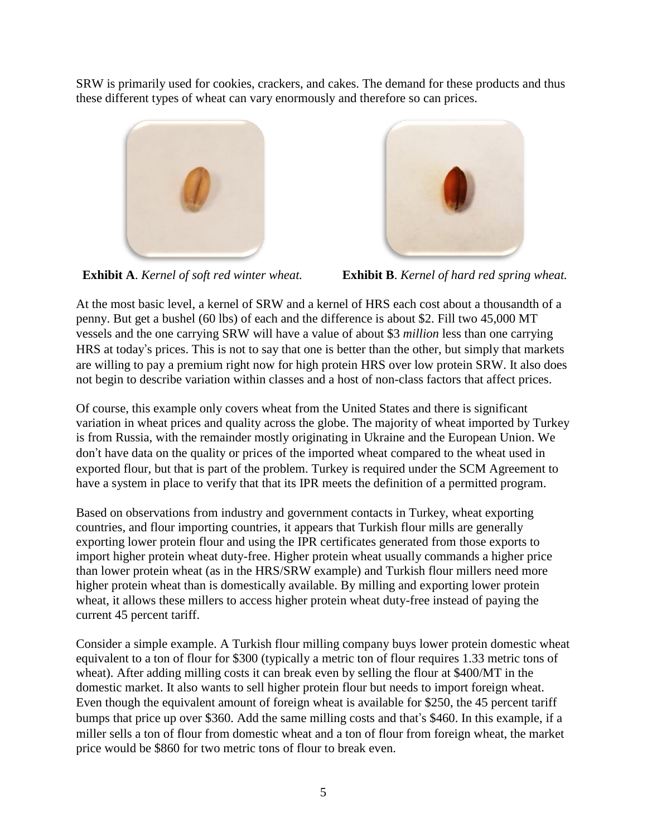SRW is primarily used for cookies, crackers, and cakes. The demand for these products and thus these different types of wheat can vary enormously and therefore so can prices.



**Exhibit A**. *Kernel of soft red winter wheat.* **Exhibit B**. *Kernel of hard red spring wheat.*

At the most basic level, a kernel of SRW and a kernel of HRS each cost about a thousandth of a penny. But get a bushel (60 lbs) of each and the difference is about \$2. Fill two 45,000 MT vessels and the one carrying SRW will have a value of about \$3 *million* less than one carrying HRS at today's prices. This is not to say that one is better than the other, but simply that markets are willing to pay a premium right now for high protein HRS over low protein SRW. It also does not begin to describe variation within classes and a host of non-class factors that affect prices.

Of course, this example only covers wheat from the United States and there is significant variation in wheat prices and quality across the globe. The majority of wheat imported by Turkey is from Russia, with the remainder mostly originating in Ukraine and the European Union. We don't have data on the quality or prices of the imported wheat compared to the wheat used in exported flour, but that is part of the problem. Turkey is required under the SCM Agreement to have a system in place to verify that that its IPR meets the definition of a permitted program.

Based on observations from industry and government contacts in Turkey, wheat exporting countries, and flour importing countries, it appears that Turkish flour mills are generally exporting lower protein flour and using the IPR certificates generated from those exports to import higher protein wheat duty-free. Higher protein wheat usually commands a higher price than lower protein wheat (as in the HRS/SRW example) and Turkish flour millers need more higher protein wheat than is domestically available. By milling and exporting lower protein wheat, it allows these millers to access higher protein wheat duty-free instead of paying the current 45 percent tariff.

Consider a simple example. A Turkish flour milling company buys lower protein domestic wheat equivalent to a ton of flour for \$300 (typically a metric ton of flour requires 1.33 metric tons of wheat). After adding milling costs it can break even by selling the flour at \$400/MT in the domestic market. It also wants to sell higher protein flour but needs to import foreign wheat. Even though the equivalent amount of foreign wheat is available for \$250, the 45 percent tariff bumps that price up over \$360. Add the same milling costs and that's \$460. In this example, if a miller sells a ton of flour from domestic wheat and a ton of flour from foreign wheat, the market price would be \$860 for two metric tons of flour to break even.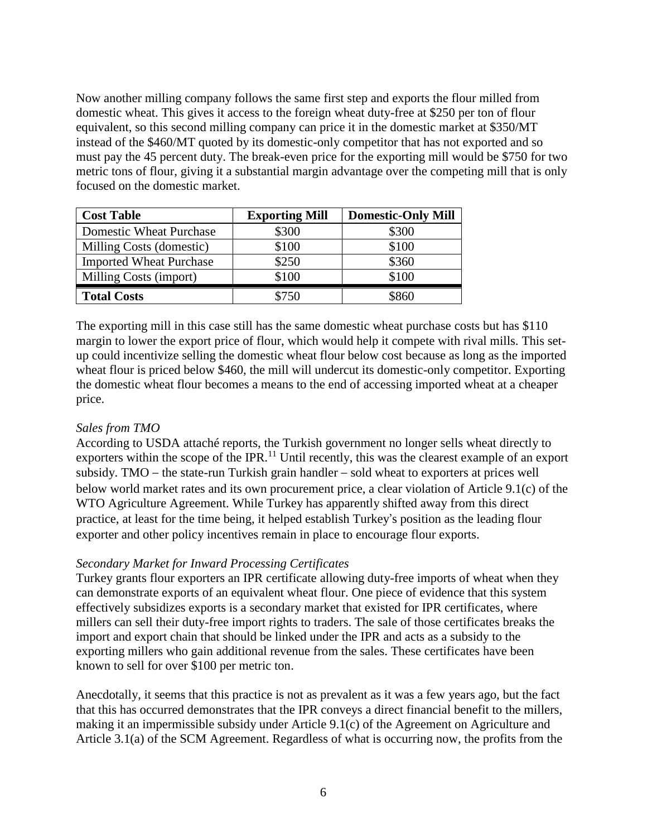Now another milling company follows the same first step and exports the flour milled from domestic wheat. This gives it access to the foreign wheat duty-free at \$250 per ton of flour equivalent, so this second milling company can price it in the domestic market at \$350/MT instead of the \$460/MT quoted by its domestic-only competitor that has not exported and so must pay the 45 percent duty. The break-even price for the exporting mill would be \$750 for two metric tons of flour, giving it a substantial margin advantage over the competing mill that is only focused on the domestic market.

| <b>Cost Table</b>              | <b>Exporting Mill</b> | <b>Domestic-Only Mill</b> |
|--------------------------------|-----------------------|---------------------------|
| <b>Domestic Wheat Purchase</b> | \$300                 | \$300                     |
| Milling Costs (domestic)       | \$100                 | \$100                     |
| <b>Imported Wheat Purchase</b> | \$250                 | \$360                     |
| Milling Costs (import)         | \$100                 | \$100                     |
| <b>Total Costs</b>             | $^{\circ}750$         |                           |

The exporting mill in this case still has the same domestic wheat purchase costs but has \$110 margin to lower the export price of flour, which would help it compete with rival mills. This setup could incentivize selling the domestic wheat flour below cost because as long as the imported wheat flour is priced below \$460, the mill will undercut its domestic-only competitor. Exporting the domestic wheat flour becomes a means to the end of accessing imported wheat at a cheaper price.

## *Sales from TMO*

According to USDA attaché reports, the Turkish government no longer sells wheat directly to exporters within the scope of the IPR.<sup>11</sup> Until recently, this was the clearest example of an export subsidy. TMO – the state-run Turkish grain handler – sold wheat to exporters at prices well below world market rates and its own procurement price, a clear violation of Article 9.1(c) of the WTO Agriculture Agreement. While Turkey has apparently shifted away from this direct practice, at least for the time being, it helped establish Turkey's position as the leading flour exporter and other policy incentives remain in place to encourage flour exports.

## *Secondary Market for Inward Processing Certificates*

Turkey grants flour exporters an IPR certificate allowing duty-free imports of wheat when they can demonstrate exports of an equivalent wheat flour. One piece of evidence that this system effectively subsidizes exports is a secondary market that existed for IPR certificates, where millers can sell their duty-free import rights to traders. The sale of those certificates breaks the import and export chain that should be linked under the IPR and acts as a subsidy to the exporting millers who gain additional revenue from the sales. These certificates have been known to sell for over \$100 per metric ton.

Anecdotally, it seems that this practice is not as prevalent as it was a few years ago, but the fact that this has occurred demonstrates that the IPR conveys a direct financial benefit to the millers, making it an impermissible subsidy under Article 9.1(c) of the Agreement on Agriculture and Article 3.1(a) of the SCM Agreement. Regardless of what is occurring now, the profits from the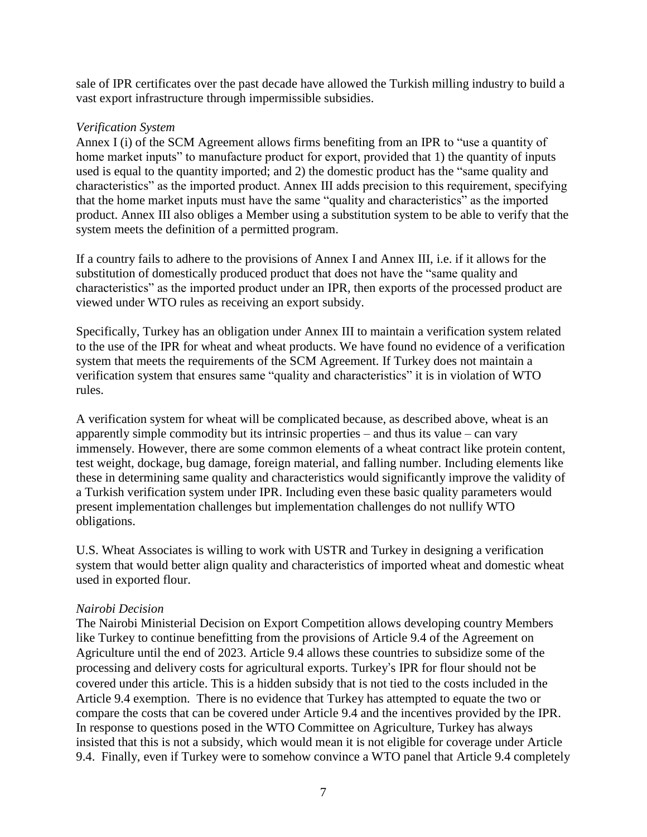sale of IPR certificates over the past decade have allowed the Turkish milling industry to build a vast export infrastructure through impermissible subsidies.

#### *Verification System*

Annex I (i) of the SCM Agreement allows firms benefiting from an IPR to "use a quantity of home market inputs" to manufacture product for export, provided that 1) the quantity of inputs used is equal to the quantity imported; and 2) the domestic product has the "same quality and characteristics" as the imported product. Annex III adds precision to this requirement, specifying that the home market inputs must have the same "quality and characteristics" as the imported product. Annex III also obliges a Member using a substitution system to be able to verify that the system meets the definition of a permitted program.

If a country fails to adhere to the provisions of Annex I and Annex III, i.e. if it allows for the substitution of domestically produced product that does not have the "same quality and characteristics" as the imported product under an IPR, then exports of the processed product are viewed under WTO rules as receiving an export subsidy.

Specifically, Turkey has an obligation under Annex III to maintain a verification system related to the use of the IPR for wheat and wheat products. We have found no evidence of a verification system that meets the requirements of the SCM Agreement. If Turkey does not maintain a verification system that ensures same "quality and characteristics" it is in violation of WTO rules.

A verification system for wheat will be complicated because, as described above, wheat is an apparently simple commodity but its intrinsic properties – and thus its value – can vary immensely. However, there are some common elements of a wheat contract like protein content, test weight, dockage, bug damage, foreign material, and falling number. Including elements like these in determining same quality and characteristics would significantly improve the validity of a Turkish verification system under IPR. Including even these basic quality parameters would present implementation challenges but implementation challenges do not nullify WTO obligations.

U.S. Wheat Associates is willing to work with USTR and Turkey in designing a verification system that would better align quality and characteristics of imported wheat and domestic wheat used in exported flour.

## *Nairobi Decision*

The Nairobi Ministerial Decision on Export Competition allows developing country Members like Turkey to continue benefitting from the provisions of Article 9.4 of the Agreement on Agriculture until the end of 2023. Article 9.4 allows these countries to subsidize some of the processing and delivery costs for agricultural exports. Turkey's IPR for flour should not be covered under this article. This is a hidden subsidy that is not tied to the costs included in the Article 9.4 exemption. There is no evidence that Turkey has attempted to equate the two or compare the costs that can be covered under Article 9.4 and the incentives provided by the IPR. In response to questions posed in the WTO Committee on Agriculture, Turkey has always insisted that this is not a subsidy, which would mean it is not eligible for coverage under Article 9.4. Finally, even if Turkey were to somehow convince a WTO panel that Article 9.4 completely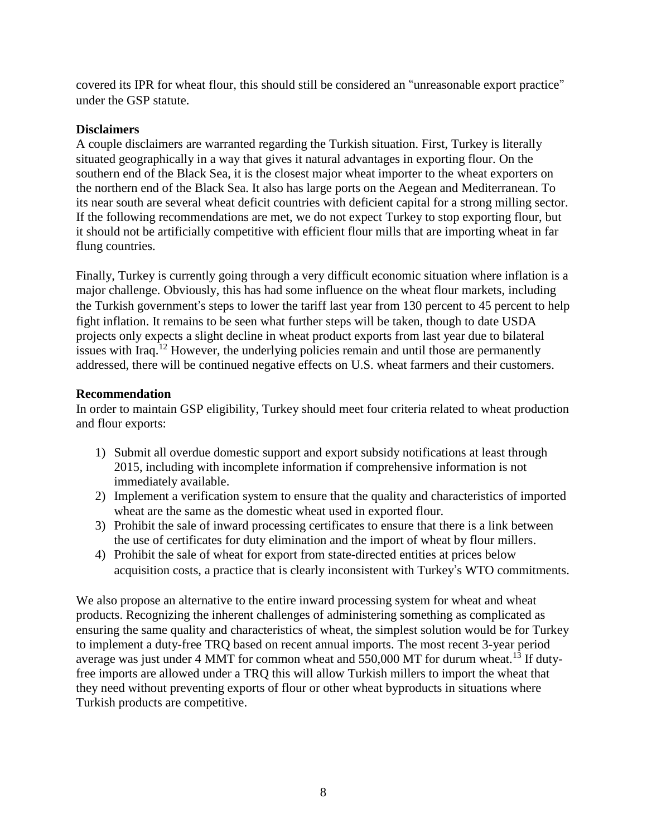covered its IPR for wheat flour, this should still be considered an "unreasonable export practice" under the GSP statute.

# **Disclaimers**

A couple disclaimers are warranted regarding the Turkish situation. First, Turkey is literally situated geographically in a way that gives it natural advantages in exporting flour. On the southern end of the Black Sea, it is the closest major wheat importer to the wheat exporters on the northern end of the Black Sea. It also has large ports on the Aegean and Mediterranean. To its near south are several wheat deficit countries with deficient capital for a strong milling sector. If the following recommendations are met, we do not expect Turkey to stop exporting flour, but it should not be artificially competitive with efficient flour mills that are importing wheat in far flung countries.

Finally, Turkey is currently going through a very difficult economic situation where inflation is a major challenge. Obviously, this has had some influence on the wheat flour markets, including the Turkish government's steps to lower the tariff last year from 130 percent to 45 percent to help fight inflation. It remains to be seen what further steps will be taken, though to date USDA projects only expects a slight decline in wheat product exports from last year due to bilateral issues with Iraq.<sup>12</sup> However, the underlying policies remain and until those are permanently addressed, there will be continued negative effects on U.S. wheat farmers and their customers.

## **Recommendation**

In order to maintain GSP eligibility, Turkey should meet four criteria related to wheat production and flour exports:

- 1) Submit all overdue domestic support and export subsidy notifications at least through 2015, including with incomplete information if comprehensive information is not immediately available.
- 2) Implement a verification system to ensure that the quality and characteristics of imported wheat are the same as the domestic wheat used in exported flour.
- 3) Prohibit the sale of inward processing certificates to ensure that there is a link between the use of certificates for duty elimination and the import of wheat by flour millers.
- 4) Prohibit the sale of wheat for export from state-directed entities at prices below acquisition costs, a practice that is clearly inconsistent with Turkey's WTO commitments.

We also propose an alternative to the entire inward processing system for wheat and wheat products. Recognizing the inherent challenges of administering something as complicated as ensuring the same quality and characteristics of wheat, the simplest solution would be for Turkey to implement a duty-free TRQ based on recent annual imports. The most recent 3-year period average was just under 4 MMT for common wheat and  $550,000$  MT for durum wheat.<sup>13</sup> If dutyfree imports are allowed under a TRQ this will allow Turkish millers to import the wheat that they need without preventing exports of flour or other wheat byproducts in situations where Turkish products are competitive.